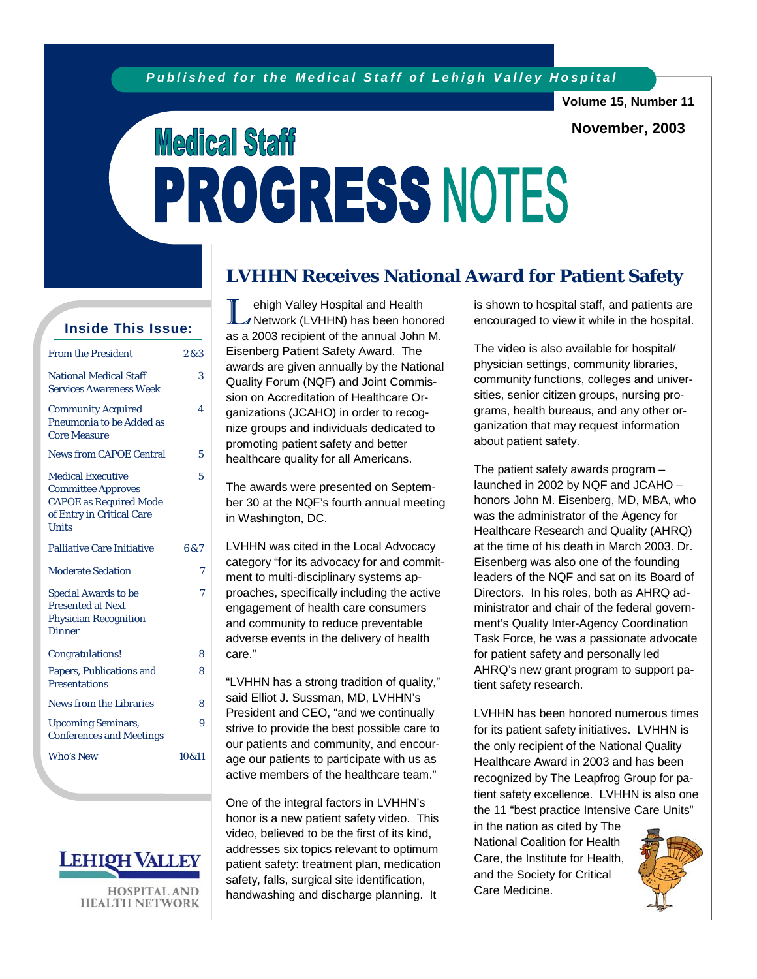**Volume 15, Number 11** 

**November, 2003** 

# **Medical Staff** PROGRESS NOTES

| <b>Inside This Issue:</b>                                                                                                           |       |  |  |  |  |
|-------------------------------------------------------------------------------------------------------------------------------------|-------|--|--|--|--|
| <b>From the President</b>                                                                                                           | 283   |  |  |  |  |
| <b>National Medical Staff</b><br><b>Services Awareness Week</b>                                                                     | 3     |  |  |  |  |
| <b>Community Acquired</b><br>Pneumonia to be Added as<br><b>Core Measure</b>                                                        | 4     |  |  |  |  |
| <b>News from CAPOE Central</b>                                                                                                      | 5     |  |  |  |  |
| <b>Medical Executive</b><br><b>Committee Approves</b><br><b>CAPOE</b> as Required Mode<br>of Entry in Critical Care<br><b>Units</b> | 5     |  |  |  |  |
| <b>Palliative Care Initiative</b>                                                                                                   | 6&7   |  |  |  |  |
| <b>Moderate Sedation</b>                                                                                                            | 7     |  |  |  |  |
| <b>Special Awards to be</b><br><b>Presented at Next</b><br><b>Physician Recognition</b><br><b>Dinner</b>                            | 7     |  |  |  |  |
| Congratulations!                                                                                                                    | 8     |  |  |  |  |
| Papers, Publications and<br><b>Presentations</b>                                                                                    | 8     |  |  |  |  |
| <b>News from the Libraries</b>                                                                                                      | 8     |  |  |  |  |
| <b>Upcoming Seminars,</b><br><b>Conferences and Meetings</b>                                                                        | 9     |  |  |  |  |
| <b>Who's New</b>                                                                                                                    | 10&11 |  |  |  |  |



**HOSPITAL AND HEALTH NETWORK** 

# **LVHHN Receives National Award for Patient Safety**

L ehigh Valley Hospital and Health<br>
Network (LVHHN) has been honored as a 2003 recipient of the annual John M. Eisenberg Patient Safety Award. The awards are given annually by the National Quality Forum (NQF) and Joint Commission on Accreditation of Healthcare Organizations (JCAHO) in order to recognize groups and individuals dedicated to promoting patient safety and better healthcare quality for all Americans.

The awards were presented on September 30 at the NQF's fourth annual meeting in Washington, DC.

LVHHN was cited in the Local Advocacy category "for its advocacy for and commitment to multi-disciplinary systems approaches, specifically including the active engagement of health care consumers and community to reduce preventable adverse events in the delivery of health care."

"LVHHN has a strong tradition of quality," said Elliot J. Sussman, MD, LVHHN's President and CEO, "and we continually strive to provide the best possible care to our patients and community, and encourage our patients to participate with us as active members of the healthcare team."

One of the integral factors in LVHHN's honor is a new patient safety video. This video, believed to be the first of its kind, addresses six topics relevant to optimum patient safety: treatment plan, medication safety, falls, surgical site identification, handwashing and discharge planning. It

is shown to hospital staff, and patients are encouraged to view it while in the hospital.

The video is also available for hospital/ physician settings, community libraries, community functions, colleges and universities, senior citizen groups, nursing programs, health bureaus, and any other organization that may request information about patient safety.

The patient safety awards program – launched in 2002 by NQF and JCAHO – honors John M. Eisenberg, MD, MBA, who was the administrator of the Agency for Healthcare Research and Quality (AHRQ) at the time of his death in March 2003. Dr. Eisenberg was also one of the founding leaders of the NQF and sat on its Board of Directors. In his roles, both as AHRQ administrator and chair of the federal government's Quality Inter-Agency Coordination Task Force, he was a passionate advocate for patient safety and personally led AHRQ's new grant program to support patient safety research.

LVHHN has been honored numerous times for its patient safety initiatives. LVHHN is the only recipient of the National Quality Healthcare Award in 2003 and has been recognized by The Leapfrog Group for patient safety excellence. LVHHN is also one the 11 "best practice Intensive Care Units"

in the nation as cited by The National Coalition for Health Care, the Institute for Health, and the Society for Critical Care Medicine.

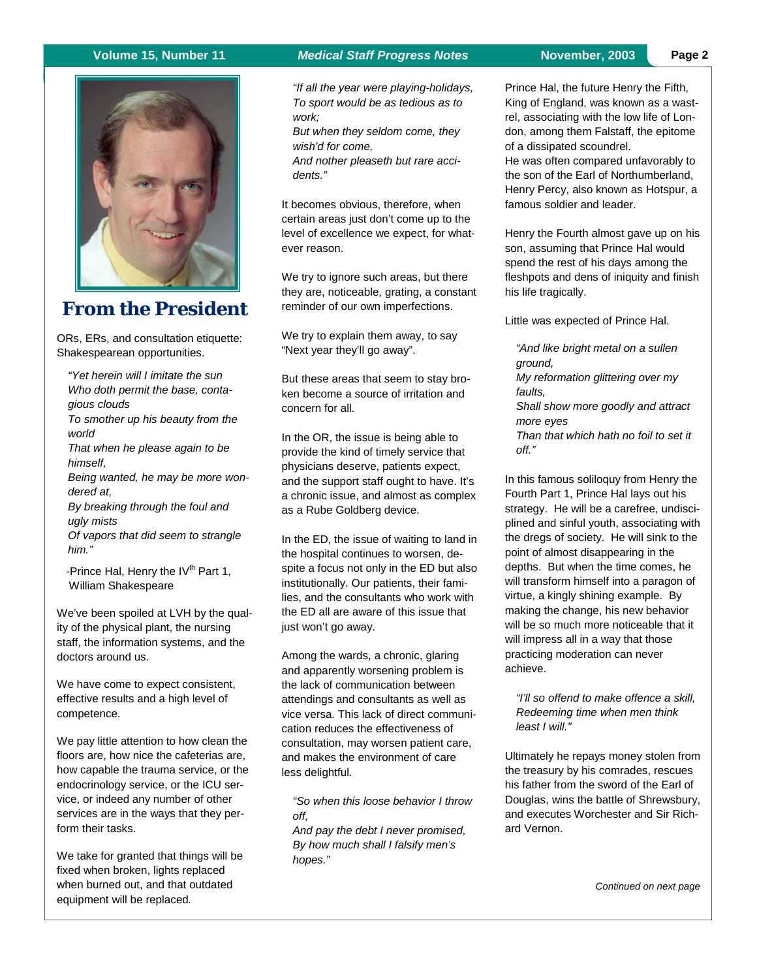

# **From the President**

ORs, ERs, and consultation etiquette: Shakespearean opportunities.

*"Yet herein will I imitate the sun Who doth permit the base, contagious clouds* 

*To smother up his beauty from the world* 

*That when he please again to be himself,* 

*Being wanted, he may be more wondered at,* 

*By breaking through the foul and ugly mists* 

*Of vapors that did seem to strangle him."* 

-Prince Hal, Henry the  $IV<sup>th</sup>$  Part 1, William Shakespeare

We've been spoiled at LVH by the quality of the physical plant, the nursing staff, the information systems, and the doctors around us.

We have come to expect consistent, effective results and a high level of competence.

We pay little attention to how clean the floors are, how nice the cafeterias are, how capable the trauma service, or the endocrinology service, or the ICU service, or indeed any number of other services are in the ways that they perform their tasks.

We take for granted that things will be fixed when broken, lights replaced when burned out, and that outdated equipment will be replaced*.* 

#### **Volume 15, Number 11** *Medical Staff Progress Notes* **November, 2003**

*"If all the year were playing-holidays, To sport would be as tedious as to work;* 

*But when they seldom come, they wish'd for come,* 

*And nother pleaseth but rare accidents."* 

It becomes obvious, therefore, when certain areas just don't come up to the level of excellence we expect, for whatever reason.

We try to ignore such areas, but there they are, noticeable, grating, a constant reminder of our own imperfections.

We try to explain them away, to say "Next year they'll go away".

But these areas that seem to stay broken become a source of irritation and concern for all.

In the OR, the issue is being able to provide the kind of timely service that physicians deserve, patients expect, and the support staff ought to have. It's a chronic issue, and almost as complex as a Rube Goldberg device.

In the ED, the issue of waiting to land in the hospital continues to worsen, despite a focus not only in the ED but also institutionally. Our patients, their families, and the consultants who work with the ED all are aware of this issue that just won't go away.

Among the wards, a chronic, glaring and apparently worsening problem is the lack of communication between attendings and consultants as well as vice versa. This lack of direct communication reduces the effectiveness of consultation, may worsen patient care, and makes the environment of care less delightful.

*"So when this loose behavior I throw off,* 

*And pay the debt I never promised, By how much shall I falsify men's hopes."* 

Prince Hal, the future Henry the Fifth, King of England, was known as a wastrel, associating with the low life of London, among them Falstaff, the epitome of a dissipated scoundrel.

He was often compared unfavorably to the son of the Earl of Northumberland, Henry Percy, also known as Hotspur, a famous soldier and leader.

Henry the Fourth almost gave up on his son, assuming that Prince Hal would spend the rest of his days among the fleshpots and dens of iniquity and finish his life tragically.

Little was expected of Prince Hal.

*"And like bright metal on a sullen ground, My reformation glittering over my faults, Shall show more goodly and attract more eyes Than that which hath no foil to set it off."* 

In this famous soliloquy from Henry the Fourth Part 1, Prince Hal lays out his strategy. He will be a carefree, undisciplined and sinful youth, associating with the dregs of society. He will sink to the point of almost disappearing in the depths. But when the time comes, he will transform himself into a paragon of virtue, a kingly shining example. By making the change, his new behavior will be so much more noticeable that it will impress all in a way that those practicing moderation can never achieve.

*"I'll so offend to make offence a skill, Redeeming time when men think least I will."* 

Ultimately he repays money stolen from the treasury by his comrades, rescues his father from the sword of the Earl of Douglas, wins the battle of Shrewsbury, and executes Worchester and Sir Richard Vernon.

*Continued on next page*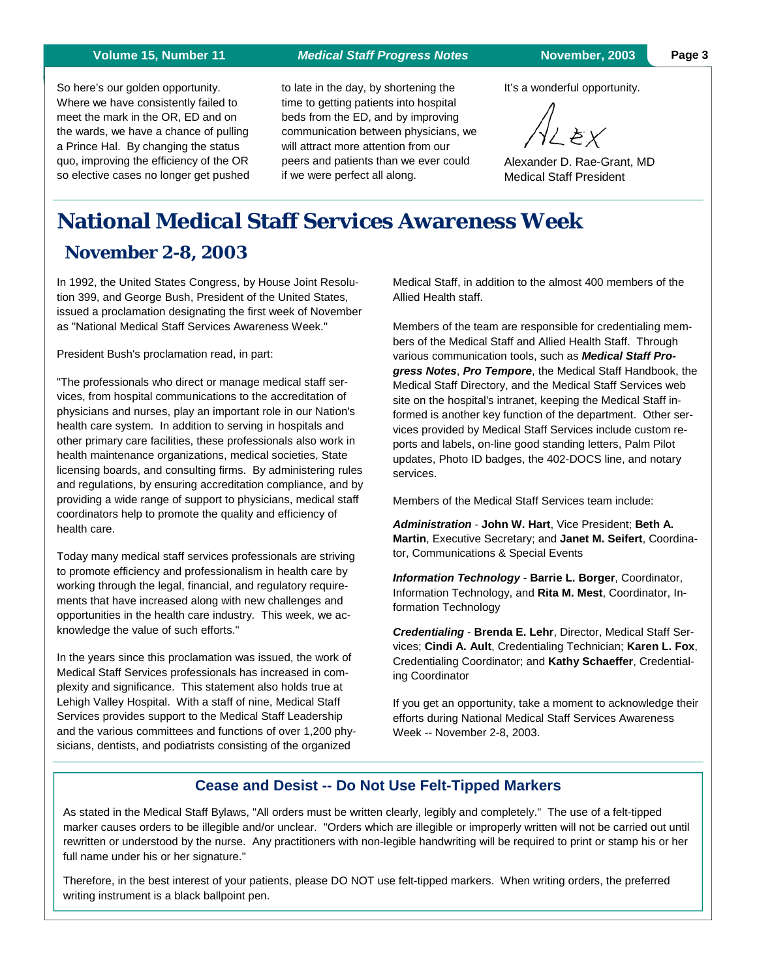#### **Volume 15, Number 11** *Medical Staff Progress Notes* **November, 2003**

**Page 3** 

So here's our golden opportunity. Where we have consistently failed to meet the mark in the OR, ED and on the wards, we have a chance of pulling a Prince Hal. By changing the status quo, improving the efficiency of the OR so elective cases no longer get pushed

to late in the day, by shortening the time to getting patients into hospital beds from the ED, and by improving communication between physicians, we will attract more attention from our peers and patients than we ever could if we were perfect all along.

It's a wonderful opportunity.

Ϋ∠ĕχ

Alexander D. Rae-Grant, MD Medical Staff President

# **National Medical Staff Services Awareness Week**

# **November 2-8, 2003**

In 1992, the United States Congress, by House Joint Resolution 399, and George Bush, President of the United States, issued a proclamation designating the first week of November as "National Medical Staff Services Awareness Week."

President Bush's proclamation read, in part:

"The professionals who direct or manage medical staff services, from hospital communications to the accreditation of physicians and nurses, play an important role in our Nation's health care system. In addition to serving in hospitals and other primary care facilities, these professionals also work in health maintenance organizations, medical societies, State licensing boards, and consulting firms. By administering rules and regulations, by ensuring accreditation compliance, and by providing a wide range of support to physicians, medical staff coordinators help to promote the quality and efficiency of health care.

Today many medical staff services professionals are striving to promote efficiency and professionalism in health care by working through the legal, financial, and regulatory requirements that have increased along with new challenges and opportunities in the health care industry. This week, we acknowledge the value of such efforts."

In the years since this proclamation was issued, the work of Medical Staff Services professionals has increased in complexity and significance. This statement also holds true at Lehigh Valley Hospital. With a staff of nine, Medical Staff Services provides support to the Medical Staff Leadership and the various committees and functions of over 1,200 physicians, dentists, and podiatrists consisting of the organized

Medical Staff, in addition to the almost 400 members of the Allied Health staff.

Members of the team are responsible for credentialing members of the Medical Staff and Allied Health Staff. Through various communication tools, such as *Medical Staff Progress Notes*, *Pro Tempore*, the Medical Staff Handbook, the Medical Staff Directory, and the Medical Staff Services web site on the hospital's intranet, keeping the Medical Staff informed is another key function of the department. Other services provided by Medical Staff Services include custom reports and labels, on-line good standing letters, Palm Pilot updates, Photo ID badges, the 402-DOCS line, and notary services.

Members of the Medical Staff Services team include:

*Administration* - **John W. Hart**, Vice President; **Beth A. Martin**, Executive Secretary; and **Janet M. Seifert**, Coordinator, Communications & Special Events

*Information Technology* - **Barrie L. Borger**, Coordinator, Information Technology, and **Rita M. Mest**, Coordinator, Information Technology

*Credentialing* - **Brenda E. Lehr**, Director, Medical Staff Services; **Cindi A. Ault**, Credentialing Technician; **Karen L. Fox**, Credentialing Coordinator; and **Kathy Schaeffer**, Credentialing Coordinator

If you get an opportunity, take a moment to acknowledge their efforts during National Medical Staff Services Awareness Week -- November 2-8, 2003.

#### **Cease and Desist -- Do Not Use Felt-Tipped Markers**

As stated in the Medical Staff Bylaws, "All orders must be written clearly, legibly and completely." The use of a felt-tipped marker causes orders to be illegible and/or unclear. "Orders which are illegible or improperly written will not be carried out until rewritten or understood by the nurse. Any practitioners with non-legible handwriting will be required to print or stamp his or her full name under his or her signature."

Therefore, in the best interest of your patients, please DO NOT use felt-tipped markers. When writing orders, the preferred writing instrument is a black ballpoint pen.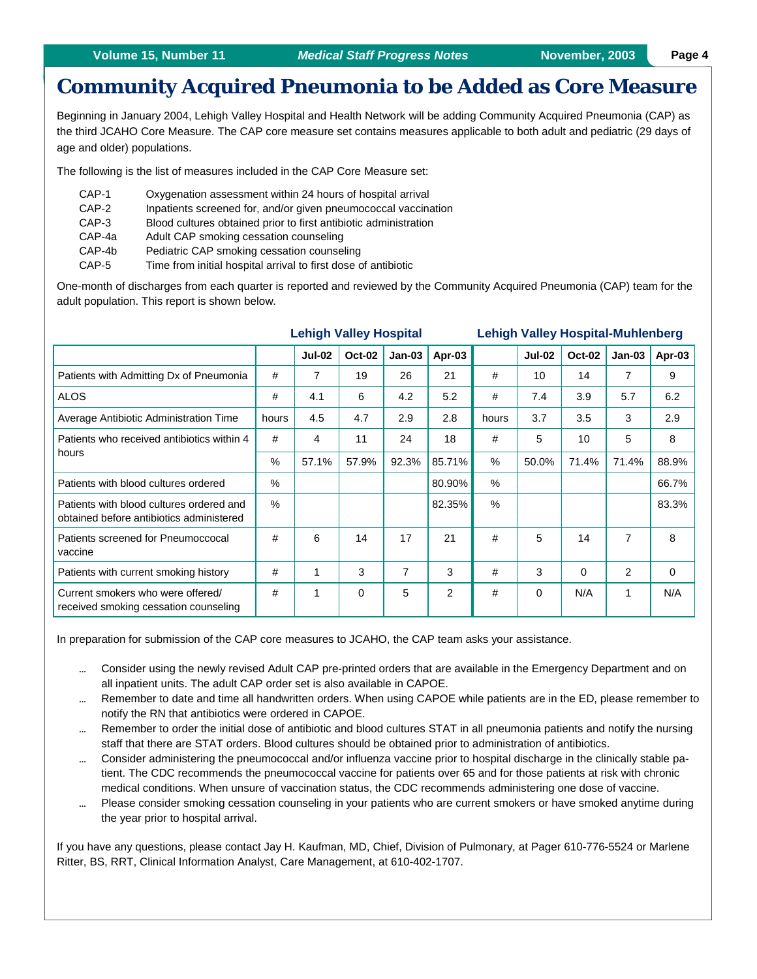# **Community Acquired Pneumonia to be Added as Core Measure**

Beginning in January 2004, Lehigh Valley Hospital and Health Network will be adding Community Acquired Pneumonia (CAP) as the third JCAHO Core Measure. The CAP core measure set contains measures applicable to both adult and pediatric (29 days of age and older) populations.

The following is the list of measures included in the CAP Core Measure set:

- CAP-1 Oxygenation assessment within 24 hours of hospital arrival
- CAP-2 Inpatients screened for, and/or given pneumococcal vaccination
- CAP-3 Blood cultures obtained prior to first antibiotic administration
- CAP-4a Adult CAP smoking cessation counseling
- CAP-4b Pediatric CAP smoking cessation counseling
- CAP-5 Time from initial hospital arrival to first dose of antibiotic

One-month of discharges from each quarter is reported and reviewed by the Community Acquired Pneumonia (CAP) team for the adult population. This report is shown below.

|                                                                                      | <b>Lehigh Valley Hospital</b> |               |               | <b>Lehigh Valley Hospital-Muhlenberg</b> |                |       |               |               |                |        |
|--------------------------------------------------------------------------------------|-------------------------------|---------------|---------------|------------------------------------------|----------------|-------|---------------|---------------|----------------|--------|
|                                                                                      |                               | <b>Jul-02</b> | <b>Oct-02</b> | $Jan-03$                                 | Apr-03         |       | <b>Jul-02</b> | <b>Oct-02</b> | $Jan-03$       | Apr-03 |
| Patients with Admitting Dx of Pneumonia                                              | #                             | 7             | 19            | 26                                       | 21             | #     | 10            | 14            | 7              | 9      |
| <b>ALOS</b>                                                                          | #                             | 4.1           | 6             | 4.2                                      | 5.2            | #     | 7.4           | 3.9           | 5.7            | 6.2    |
| Average Antibiotic Administration Time                                               | hours                         | 4.5           | 4.7           | 2.9                                      | 2.8            | hours | 3.7           | 3.5           | 3              | 2.9    |
| Patients who received antibiotics within 4<br>hours                                  | #                             | 4             | 11            | 24                                       | 18             | #     | 5             | 10            | 5              | 8      |
|                                                                                      | $\frac{0}{0}$                 | 57.1%         | 57.9%         | 92.3%                                    | 85.71%         | $\%$  | 50.0%         | 71.4%         | 71.4%          | 88.9%  |
| Patients with blood cultures ordered                                                 | $\%$                          |               |               |                                          | 80.90%         | %     |               |               |                | 66.7%  |
| Patients with blood cultures ordered and<br>obtained before antibiotics administered | $\%$                          |               |               |                                          | 82.35%         | $\%$  |               |               |                | 83.3%  |
| Patients screened for Pneumoccocal<br>vaccine                                        | #                             | 6             | 14            | 17                                       | 21             | #     | 5             | 14            | $\overline{7}$ | 8      |
| Patients with current smoking history                                                | #                             | 1             | 3             | $\overline{7}$                           | 3              | #     | 3             | $\Omega$      | $\mathcal{P}$  | 0      |
| Current smokers who were offered/<br>received smoking cessation counseling           | #                             | 1             | $\Omega$      | 5                                        | $\overline{2}$ | #     | $\Omega$      | N/A           | 1              | N/A    |

In preparation for submission of the CAP core measures to JCAHO, the CAP team asks your assistance.

- Consider using the newly revised Adult CAP pre-printed orders that are available in the Emergency Department and on all inpatient units. The adult CAP order set is also available in CAPOE.
- Remember to date and time all handwritten orders. When using CAPOE while patients are in the ED, please remember to notify the RN that antibiotics were ordered in CAPOE.
- Remember to order the initial dose of antibiotic and blood cultures STAT in all pneumonia patients and notify the nursing staff that there are STAT orders. Blood cultures should be obtained prior to administration of antibiotics.
- Consider administering the pneumococcal and/or influenza vaccine prior to hospital discharge in the clinically stable patient. The CDC recommends the pneumococcal vaccine for patients over 65 and for those patients at risk with chronic medical conditions. When unsure of vaccination status, the CDC recommends administering one dose of vaccine.
- Please consider smoking cessation counseling in your patients who are current smokers or have smoked anytime during the year prior to hospital arrival.

If you have any questions, please contact Jay H. Kaufman, MD, Chief, Division of Pulmonary, at Pager 610-776-5524 or Marlene Ritter, BS, RRT, Clinical Information Analyst, Care Management, at 610-402-1707.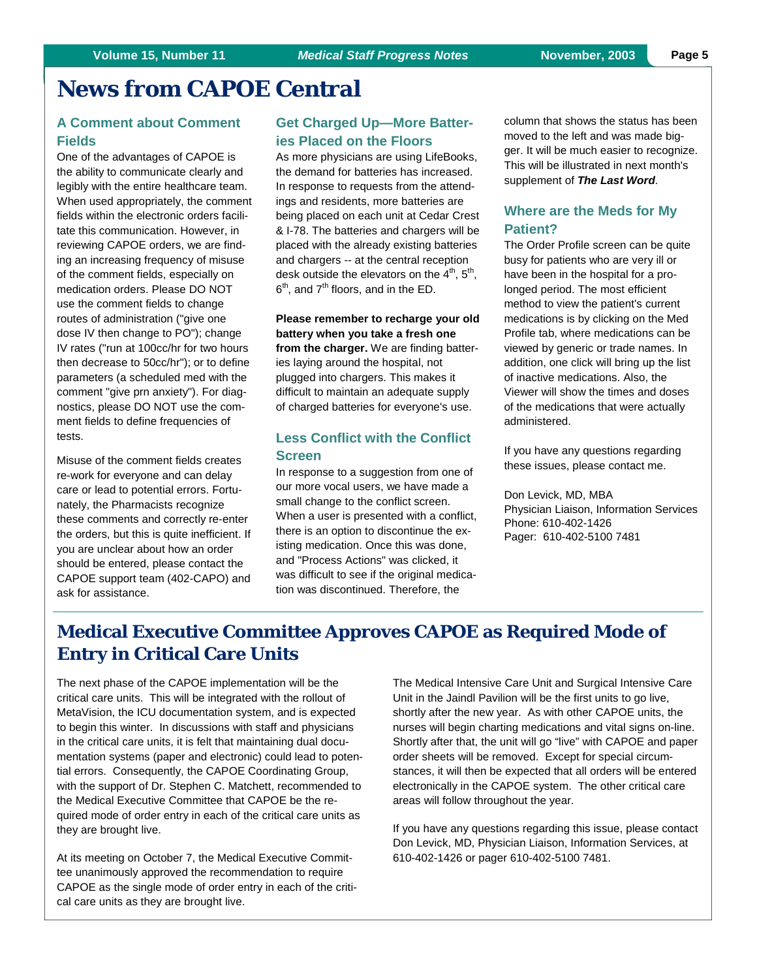# **News from CAPOE Central**

#### **A Comment about Comment Fields**

One of the advantages of CAPOE is the ability to communicate clearly and legibly with the entire healthcare team. When used appropriately, the comment fields within the electronic orders facilitate this communication. However, in reviewing CAPOE orders, we are finding an increasing frequency of misuse of the comment fields, especially on medication orders. Please DO NOT use the comment fields to change routes of administration ("give one dose IV then change to PO"); change IV rates ("run at 100cc/hr for two hours then decrease to 50cc/hr"); or to define parameters (a scheduled med with the comment "give prn anxiety"). For diagnostics, please DO NOT use the comment fields to define frequencies of tests.

Misuse of the comment fields creates re-work for everyone and can delay care or lead to potential errors. Fortunately, the Pharmacists recognize these comments and correctly re-enter the orders, but this is quite inefficient. If you are unclear about how an order should be entered, please contact the CAPOE support team (402-CAPO) and ask for assistance.

#### **Get Charged Up—More Batteries Placed on the Floors**

As more physicians are using LifeBooks, the demand for batteries has increased. In response to requests from the attendings and residents, more batteries are being placed on each unit at Cedar Crest & I-78. The batteries and chargers will be placed with the already existing batteries and chargers -- at the central reception desk outside the elevators on the  $4<sup>th</sup>$ ,  $5<sup>th</sup>$ ,  $6<sup>th</sup>$ , and  $7<sup>th</sup>$  floors, and in the ED.

**Please remember to recharge your old battery when you take a fresh one from the charger.** We are finding batteries laying around the hospital, not plugged into chargers. This makes it difficult to maintain an adequate supply of charged batteries for everyone's use.

### **Less Conflict with the Conflict Screen**

In response to a suggestion from one of our more vocal users, we have made a small change to the conflict screen. When a user is presented with a conflict, there is an option to discontinue the existing medication. Once this was done, and "Process Actions" was clicked, it was difficult to see if the original medication was discontinued. Therefore, the

column that shows the status has been moved to the left and was made bigger. It will be much easier to recognize. This will be illustrated in next month's supplement of *The Last Word*.

### **Where are the Meds for My Patient?**

The Order Profile screen can be quite busy for patients who are very ill or have been in the hospital for a prolonged period. The most efficient method to view the patient's current medications is by clicking on the Med Profile tab, where medications can be viewed by generic or trade names. In addition, one click will bring up the list of inactive medications. Also, the Viewer will show the times and doses of the medications that were actually administered.

If you have any questions regarding these issues, please contact me.

Don Levick, MD, MBA Physician Liaison, Information Services Phone: 610-402-1426 Pager: 610-402-5100 7481

# **Medical Executive Committee Approves CAPOE as Required Mode of Entry in Critical Care Units**

The next phase of the CAPOE implementation will be the critical care units. This will be integrated with the rollout of MetaVision, the ICU documentation system, and is expected to begin this winter. In discussions with staff and physicians in the critical care units, it is felt that maintaining dual documentation systems (paper and electronic) could lead to potential errors. Consequently, the CAPOE Coordinating Group, with the support of Dr. Stephen C. Matchett, recommended to the Medical Executive Committee that CAPOE be the required mode of order entry in each of the critical care units as they are brought live.

At its meeting on October 7, the Medical Executive Committee unanimously approved the recommendation to require CAPOE as the single mode of order entry in each of the critical care units as they are brought live.

The Medical Intensive Care Unit and Surgical Intensive Care Unit in the Jaindl Pavilion will be the first units to go live, shortly after the new year. As with other CAPOE units, the nurses will begin charting medications and vital signs on-line. Shortly after that, the unit will go "live" with CAPOE and paper order sheets will be removed. Except for special circumstances, it will then be expected that all orders will be entered electronically in the CAPOE system. The other critical care areas will follow throughout the year.

If you have any questions regarding this issue, please contact Don Levick, MD, Physician Liaison, Information Services, at 610-402-1426 or pager 610-402-5100 7481.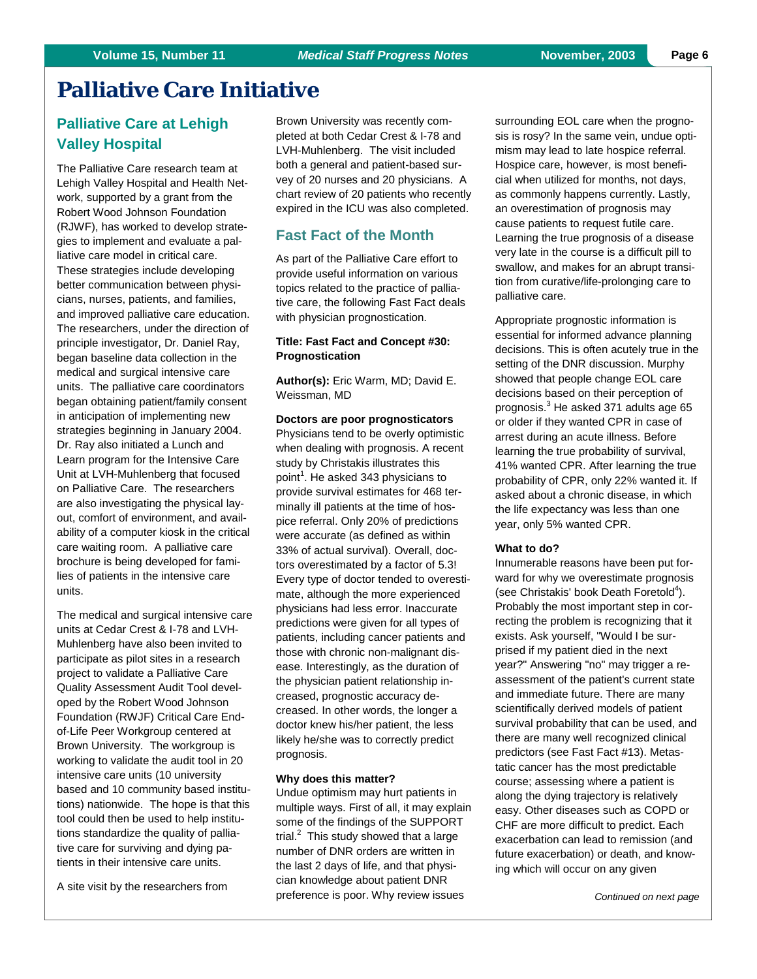# **Palliative Care Initiative**

### **Palliative Care at Lehigh Valley Hospital**

The Palliative Care research team at Lehigh Valley Hospital and Health Network, supported by a grant from the Robert Wood Johnson Foundation (RJWF), has worked to develop strategies to implement and evaluate a palliative care model in critical care. These strategies include developing better communication between physicians, nurses, patients, and families, and improved palliative care education. The researchers, under the direction of principle investigator, Dr. Daniel Ray, began baseline data collection in the medical and surgical intensive care units. The palliative care coordinators began obtaining patient/family consent in anticipation of implementing new strategies beginning in January 2004. Dr. Ray also initiated a Lunch and Learn program for the Intensive Care Unit at LVH-Muhlenberg that focused on Palliative Care. The researchers are also investigating the physical layout, comfort of environment, and availability of a computer kiosk in the critical care waiting room. A palliative care brochure is being developed for families of patients in the intensive care units.

The medical and surgical intensive care units at Cedar Crest & I-78 and LVH-Muhlenberg have also been invited to participate as pilot sites in a research project to validate a Palliative Care Quality Assessment Audit Tool developed by the Robert Wood Johnson Foundation (RWJF) Critical Care Endof-Life Peer Workgroup centered at Brown University. The workgroup is working to validate the audit tool in 20 intensive care units (10 university based and 10 community based institutions) nationwide. The hope is that this tool could then be used to help institutions standardize the quality of palliative care for surviving and dying patients in their intensive care units.

A site visit by the researchers from

Brown University was recently completed at both Cedar Crest & I-78 and LVH-Muhlenberg. The visit included both a general and patient-based survey of 20 nurses and 20 physicians. A chart review of 20 patients who recently expired in the ICU was also completed.

#### **Fast Fact of the Month**

As part of the Palliative Care effort to provide useful information on various topics related to the practice of palliative care, the following Fast Fact deals with physician prognostication.

#### **Title: Fast Fact and Concept #30: Prognostication**

**Author(s):** Eric Warm, MD; David E. Weissman, MD

**Doctors are poor prognosticators** Physicians tend to be overly optimistic when dealing with prognosis. A recent study by Christakis illustrates this point<sup>1</sup>. He asked 343 physicians to provide survival estimates for 468 terminally ill patients at the time of hospice referral. Only 20% of predictions were accurate (as defined as within 33% of actual survival). Overall, doctors overestimated by a factor of 5.3! Every type of doctor tended to overestimate, although the more experienced physicians had less error. Inaccurate predictions were given for all types of patients, including cancer patients and those with chronic non-malignant disease. Interestingly, as the duration of the physician patient relationship increased, prognostic accuracy decreased. In other words, the longer a doctor knew his/her patient, the less likely he/she was to correctly predict prognosis.

#### **Why does this matter?**

Undue optimism may hurt patients in multiple ways. First of all, it may explain some of the findings of the SUPPORT trial. $^2$  This study showed that a large number of DNR orders are written in the last 2 days of life, and that physician knowledge about patient DNR preference is poor. Why review issues

surrounding EOL care when the prognosis is rosy? In the same vein, undue optimism may lead to late hospice referral. Hospice care, however, is most beneficial when utilized for months, not days, as commonly happens currently. Lastly, an overestimation of prognosis may cause patients to request futile care. Learning the true prognosis of a disease very late in the course is a difficult pill to swallow, and makes for an abrupt transition from curative/life-prolonging care to palliative care.

Appropriate prognostic information is essential for informed advance planning decisions. This is often acutely true in the setting of the DNR discussion. Murphy showed that people change EOL care decisions based on their perception of prognosis.<sup>3</sup> He asked 371 adults age 65 or older if they wanted CPR in case of arrest during an acute illness. Before learning the true probability of survival, 41% wanted CPR. After learning the true probability of CPR, only 22% wanted it. If asked about a chronic disease, in which the life expectancy was less than one year, only 5% wanted CPR.

#### **What to do?**

Innumerable reasons have been put forward for why we overestimate prognosis (see Christakis' book Death Foretold<sup>4</sup>). Probably the most important step in correcting the problem is recognizing that it exists. Ask yourself, "Would I be surprised if my patient died in the next year?" Answering "no" may trigger a reassessment of the patient's current state and immediate future. There are many scientifically derived models of patient survival probability that can be used, and there are many well recognized clinical predictors (see Fast Fact #13). Metastatic cancer has the most predictable course; assessing where a patient is along the dying trajectory is relatively easy. Other diseases such as COPD or CHF are more difficult to predict. Each exacerbation can lead to remission (and future exacerbation) or death, and knowing which will occur on any given

*Continued on next page*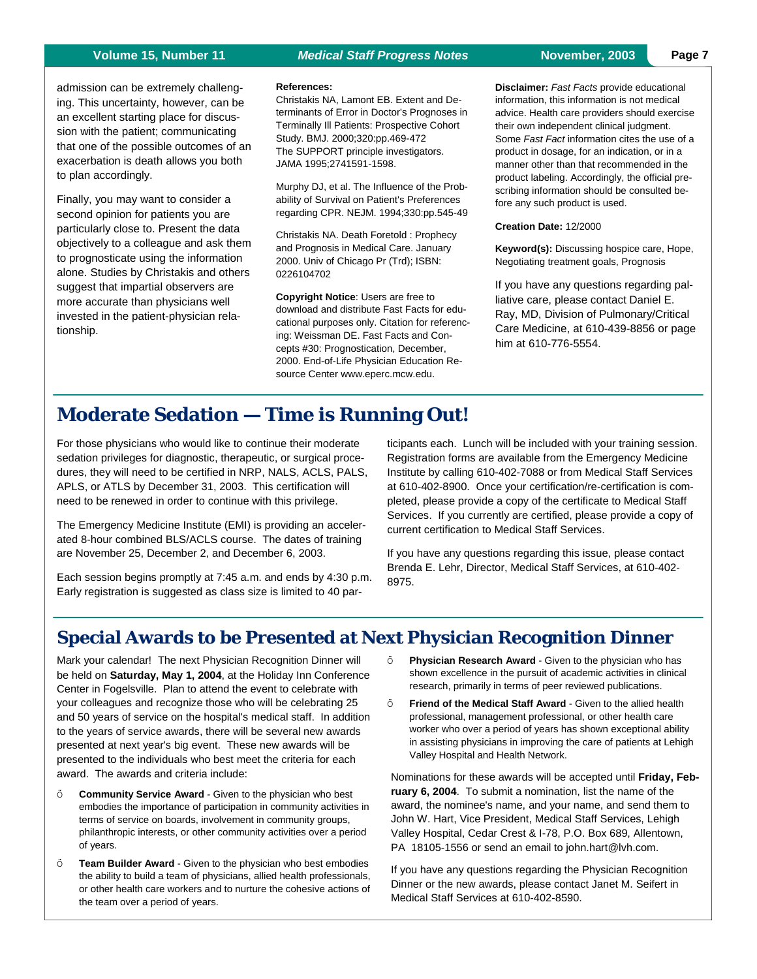#### **Volume 15, Number 11** *Medical Staff Progress Notes* **November, 2003 Page 7**

admission can be extremely challenging. This uncertainty, however, can be an excellent starting place for discussion with the patient; communicating that one of the possible outcomes of an exacerbation is death allows you both to plan accordingly.

Finally, you may want to consider a second opinion for patients you are particularly close to. Present the data objectively to a colleague and ask them to prognosticate using the information alone. Studies by Christakis and others suggest that impartial observers are more accurate than physicians well invested in the patient-physician relationship.

#### **References:**

Christakis NA, Lamont EB. Extent and Determinants of Error in Doctor's Prognoses in Terminally Ill Patients: Prospective Cohort Study. BMJ. 2000;320:pp.469-472 The SUPPORT principle investigators. JAMA 1995;2741591-1598.

Murphy DJ, et al. The Influence of the Probability of Survival on Patient's Preferences regarding CPR. NEJM. 1994;330:pp.545-49

Christakis NA. Death Foretold : Prophecy and Prognosis in Medical Care. January 2000. Univ of Chicago Pr (Trd); ISBN: 0226104702

**Copyright Notice**: Users are free to download and distribute Fast Facts for educational purposes only. Citation for referencing: Weissman DE. Fast Facts and Concepts #30: Prognostication, December, 2000. End-of-Life Physician Education Resource Center www.eperc.mcw.edu.

**Disclaimer:** *Fast Facts* provide educational information, this information is not medical advice. Health care providers should exercise their own independent clinical judgment. Some *Fast Fact* information cites the use of a product in dosage, for an indication, or in a manner other than that recommended in the product labeling. Accordingly, the official prescribing information should be consulted before any such product is used.

#### **Creation Date:** 12/2000

**Keyword(s):** Discussing hospice care, Hope, Negotiating treatment goals, Prognosis

If you have any questions regarding palliative care, please contact Daniel E. Ray, MD, Division of Pulmonary/Critical Care Medicine, at 610-439-8856 or page him at 610-776-5554.

# **Moderate Sedation — Time is Running Out!**

For those physicians who would like to continue their moderate sedation privileges for diagnostic, therapeutic, or surgical procedures, they will need to be certified in NRP, NALS, ACLS, PALS, APLS, or ATLS by December 31, 2003. This certification will need to be renewed in order to continue with this privilege.

The Emergency Medicine Institute (EMI) is providing an accelerated 8-hour combined BLS/ACLS course. The dates of training are November 25, December 2, and December 6, 2003.

Each session begins promptly at 7:45 a.m. and ends by 4:30 p.m. Early registration is suggested as class size is limited to 40 participants each. Lunch will be included with your training session. Registration forms are available from the Emergency Medicine Institute by calling 610-402-7088 or from Medical Staff Services at 610-402-8900. Once your certification/re-certification is completed, please provide a copy of the certificate to Medical Staff Services. If you currently are certified, please provide a copy of current certification to Medical Staff Services.

If you have any questions regarding this issue, please contact Brenda E. Lehr, Director, Medical Staff Services, at 610-402- 8975.

# **Special Awards to be Presented at Next Physician Recognition Dinner**

Mark your calendar! The next Physician Recognition Dinner will be held on **Saturday, May 1, 2004**, at the Holiday Inn Conference Center in Fogelsville. Plan to attend the event to celebrate with your colleagues and recognize those who will be celebrating 25 and 50 years of service on the hospital's medical staff. In addition to the years of service awards, there will be several new awards presented at next year's big event. These new awards will be presented to the individuals who best meet the criteria for each award. The awards and criteria include:

- **Community Service Award** Given to the physician who best embodies the importance of participation in community activities in terms of service on boards, involvement in community groups, philanthropic interests, or other community activities over a period of years.
- **Team Builder Award** Given to the physician who best embodies the ability to build a team of physicians, allied health professionals, or other health care workers and to nurture the cohesive actions of the team over a period of years.
- **Physician Research Award** Given to the physician who has shown excellence in the pursuit of academic activities in clinical research, primarily in terms of peer reviewed publications.
- **Friend of the Medical Staff Award** Given to the allied health professional, management professional, or other health care worker who over a period of years has shown exceptional ability in assisting physicians in improving the care of patients at Lehigh Valley Hospital and Health Network.

Nominations for these awards will be accepted until **Friday, February 6, 2004**. To submit a nomination, list the name of the award, the nominee's name, and your name, and send them to John W. Hart, Vice President, Medical Staff Services, Lehigh Valley Hospital, Cedar Crest & I-78, P.O. Box 689, Allentown, PA 18105-1556 or send an email to john.hart@lvh.com.

If you have any questions regarding the Physician Recognition Dinner or the new awards, please contact Janet M. Seifert in Medical Staff Services at 610-402-8590.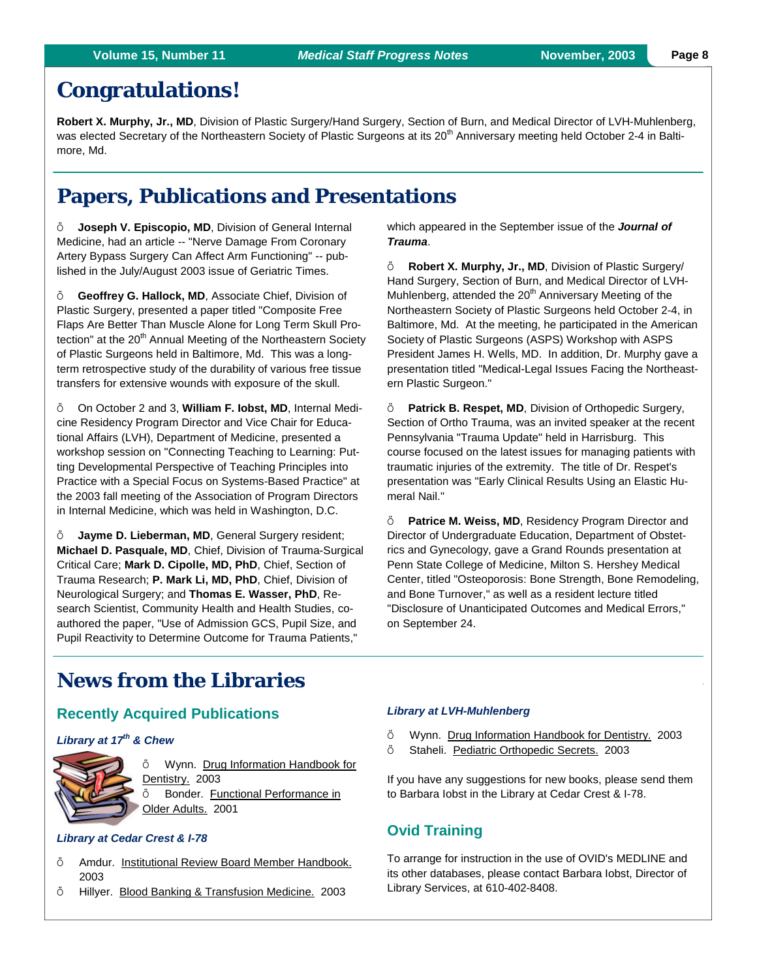# **Congratulations!**

**Robert X. Murphy, Jr., MD**, Division of Plastic Surgery/Hand Surgery, Section of Burn, and Medical Director of LVH-Muhlenberg, was elected Secretary of the Northeastern Society of Plastic Surgeons at its 20<sup>th</sup> Anniversary meeting held October 2-4 in Baltimore, Md.

# **Papers, Publications and Presentations**

 **Joseph V. Episcopio, MD**, Division of General Internal Medicine, had an article -- "Nerve Damage From Coronary Artery Bypass Surgery Can Affect Arm Functioning" -- published in the July/August 2003 issue of Geriatric Times.

 **Geoffrey G. Hallock, MD**, Associate Chief, Division of Plastic Surgery, presented a paper titled "Composite Free Flaps Are Better Than Muscle Alone for Long Term Skull Protection" at the 20<sup>th</sup> Annual Meeting of the Northeastern Society of Plastic Surgeons held in Baltimore, Md. This was a longterm retrospective study of the durability of various free tissue transfers for extensive wounds with exposure of the skull.

 On October 2 and 3, **William F. Iobst, MD**, Internal Medicine Residency Program Director and Vice Chair for Educational Affairs (LVH), Department of Medicine, presented a workshop session on "Connecting Teaching to Learning: Putting Developmental Perspective of Teaching Principles into Practice with a Special Focus on Systems-Based Practice" at the 2003 fall meeting of the Association of Program Directors in Internal Medicine, which was held in Washington, D.C.

 **Jayme D. Lieberman, MD**, General Surgery resident; **Michael D. Pasquale, MD**, Chief, Division of Trauma-Surgical Critical Care; **Mark D. Cipolle, MD, PhD**, Chief, Section of Trauma Research; **P. Mark Li, MD, PhD**, Chief, Division of Neurological Surgery; and **Thomas E. Wasser, PhD**, Research Scientist, Community Health and Health Studies, coauthored the paper, "Use of Admission GCS, Pupil Size, and Pupil Reactivity to Determine Outcome for Trauma Patients,"

which appeared in the September issue of the *Journal of Trauma*.

 **Robert X. Murphy, Jr., MD**, Division of Plastic Surgery/ Hand Surgery, Section of Burn, and Medical Director of LVH-Muhlenberg, attended the 20<sup>th</sup> Anniversary Meeting of the Northeastern Society of Plastic Surgeons held October 2-4, in Baltimore, Md. At the meeting, he participated in the American Society of Plastic Surgeons (ASPS) Workshop with ASPS President James H. Wells, MD. In addition, Dr. Murphy gave a presentation titled "Medical-Legal Issues Facing the Northeastern Plastic Surgeon."

 **Patrick B. Respet, MD**, Division of Orthopedic Surgery, Section of Ortho Trauma, was an invited speaker at the recent Pennsylvania "Trauma Update" held in Harrisburg. This course focused on the latest issues for managing patients with traumatic injuries of the extremity. The title of Dr. Respet's presentation was "Early Clinical Results Using an Elastic Humeral Nail."

 **Patrice M. Weiss, MD**, Residency Program Director and Director of Undergraduate Education, Department of Obstetrics and Gynecology, gave a Grand Rounds presentation at Penn State College of Medicine, Milton S. Hershey Medical Center, titled "Osteoporosis: Bone Strength, Bone Remodeling, and Bone Turnover," as well as a resident lecture titled "Disclosure of Unanticipated Outcomes and Medical Errors," on September 24.

# **News from the Libraries**

### **Recently Acquired Publications**

#### *Library at 17th & Chew*



ö Wynn. Drug Information Handbook for Dentistry. 2003 ö Bonder. Functional Performance in Older Adults. 2001

#### *Library at Cedar Crest & I-78*

- Amdur. Institutional Review Board Member Handbook. 2003
- Hillyer. Blood Banking & Transfusion Medicine. 2003

#### *Library at LVH-Muhlenberg*

- ö Wynn. Drug Information Handbook for Dentistry. 2003
- $\ddot{\circ}$  Staheli. Pediatric Orthopedic Secrets. 2003

If you have any suggestions for new books, please send them to Barbara Iobst in the Library at Cedar Crest & I-78.

### **Ovid Training**

To arrange for instruction in the use of OVID's MEDLINE and its other databases, please contact Barbara Iobst, Director of Library Services, at 610-402-8408.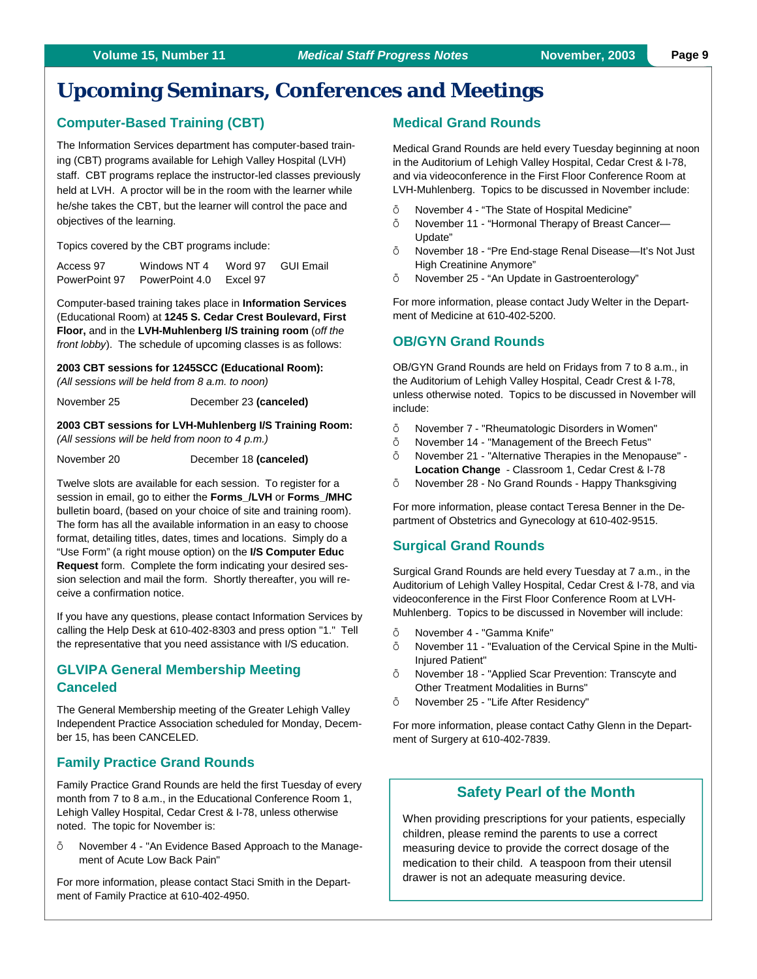# **Upcoming Seminars, Conferences and Meetings**

#### **Computer-Based Training (CBT)**

The Information Services department has computer-based training (CBT) programs available for Lehigh Valley Hospital (LVH) staff. CBT programs replace the instructor-led classes previously held at LVH. A proctor will be in the room with the learner while he/she takes the CBT, but the learner will control the pace and objectives of the learning.

Topics covered by the CBT programs include:

| Access 97     | Windows NT 4   | Word 97  | GUI Email |
|---------------|----------------|----------|-----------|
| PowerPoint 97 | PowerPoint 4.0 | Excel 97 |           |

Computer-based training takes place in **Information Services** (Educational Room) at **1245 S. Cedar Crest Boulevard, First Floor,** and in the **LVH-Muhlenberg I/S training room** (*off the front lobby*). The schedule of upcoming classes is as follows:

#### **2003 CBT sessions for 1245SCC (Educational Room):**

*(All sessions will be held from 8 a.m. to noon)*

November 25 December 23 **(canceled)**

**2003 CBT sessions for LVH-Muhlenberg I/S Training Room:**  *(All sessions will be held from noon to 4 p.m.)*

November 20 December 18 **(canceled)** 

Twelve slots are available for each session. To register for a session in email, go to either the **Forms\_/LVH** or **Forms\_/MHC** bulletin board, (based on your choice of site and training room). The form has all the available information in an easy to choose format, detailing titles, dates, times and locations. Simply do a "Use Form" (a right mouse option) on the **I/S Computer Educ Request** form. Complete the form indicating your desired session selection and mail the form. Shortly thereafter, you will receive a confirmation notice.

If you have any questions, please contact Information Services by calling the Help Desk at 610-402-8303 and press option "1." Tell the representative that you need assistance with I/S education.

### **GLVIPA General Membership Meeting Canceled**

The General Membership meeting of the Greater Lehigh Valley Independent Practice Association scheduled for Monday, December 15, has been CANCELED.

#### **Family Practice Grand Rounds**

Family Practice Grand Rounds are held the first Tuesday of every month from 7 to 8 a.m., in the Educational Conference Room 1, Lehigh Valley Hospital, Cedar Crest & I-78, unless otherwise noted. The topic for November is:

 November 4 - "An Evidence Based Approach to the Management of Acute Low Back Pain"

For more information, please contact Staci Smith in the Department of Family Practice at 610-402-4950.

#### **Medical Grand Rounds**

Medical Grand Rounds are held every Tuesday beginning at noon in the Auditorium of Lehigh Valley Hospital, Cedar Crest & I-78, and via videoconference in the First Floor Conference Room at LVH-Muhlenberg. Topics to be discussed in November include:

- November 4 "The State of Hospital Medicine"
- November 11 "Hormonal Therapy of Breast Cancer— Update"
- November 18 "Pre End-stage Renal Disease—It's Not Just High Creatinine Anymore"
- November 25 "An Update in Gastroenterology"

For more information, please contact Judy Welter in the Department of Medicine at 610-402-5200.

#### **OB/GYN Grand Rounds**

OB/GYN Grand Rounds are held on Fridays from 7 to 8 a.m., in the Auditorium of Lehigh Valley Hospital, Ceadr Crest & I-78, unless otherwise noted. Topics to be discussed in November will include:

- November 7 "Rheumatologic Disorders in Women"
- November 14 "Management of the Breech Fetus"
- November 21 "Alternative Therapies in the Menopause" **Location Change** - Classroom 1, Cedar Crest & I-78
- November 28 No Grand Rounds Happy Thanksgiving

For more information, please contact Teresa Benner in the Department of Obstetrics and Gynecology at 610-402-9515.

#### **Surgical Grand Rounds**

Surgical Grand Rounds are held every Tuesday at 7 a.m., in the Auditorium of Lehigh Valley Hospital, Cedar Crest & I-78, and via videoconference in the First Floor Conference Room at LVH-Muhlenberg. Topics to be discussed in November will include:

- November 4 "Gamma Knife"
- November 11 "Evaluation of the Cervical Spine in the Multi-Injured Patient"
- November 18 "Applied Scar Prevention: Transcyte and Other Treatment Modalities in Burns"
- November 25 "Life After Residency"

For more information, please contact Cathy Glenn in the Department of Surgery at 610-402-7839.

#### **Safety Pearl of the Month**

When providing prescriptions for your patients, especially children, please remind the parents to use a correct measuring device to provide the correct dosage of the medication to their child. A teaspoon from their utensil drawer is not an adequate measuring device.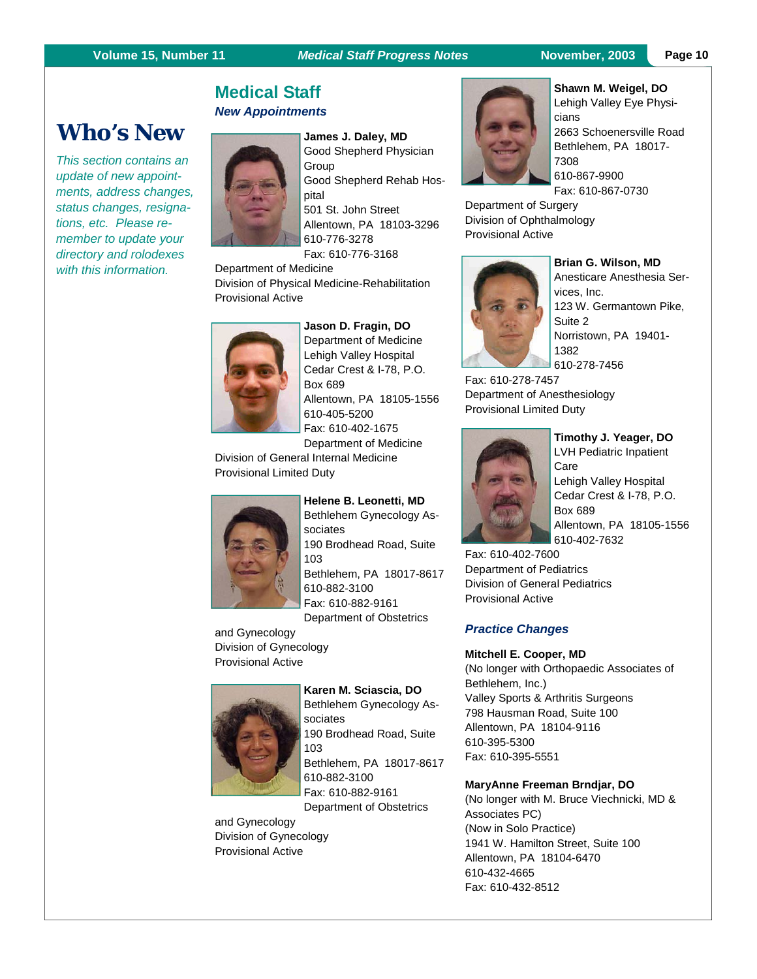#### **Volume 15, Number 11 Medical Staff Progress Notes** November, 2003 Page 10

# **Medical Staff**  *New Appointments*



*This section contains an update of new appointments, address changes, status changes, resignations, etc. Please remember to update your directory and rolodexes with this information.* 

**James J. Daley, MD**  Good Shepherd Physician Group Good Shepherd Rehab Hospital 501 St. John Street Allentown, PA 18103-3296 610-776-3278

Fax: 610-776-3168

Department of Medicine Division of Physical Medicine-Rehabilitation Provisional Active

#### **Jason D. Fragin, DO**



Department of Medicine Lehigh Valley Hospital Cedar Crest & I-78, P.O. Box 689 Allentown, PA 18105-1556 610-405-5200 Fax: 610-402-1675 Department of Medicine

Division of General Internal Medicine Provisional Limited Duty



**Helene B. Leonetti, MD**  Bethlehem Gynecology Associates 190 Brodhead Road, Suite 103 Bethlehem, PA 18017-8617 610-882-3100 Fax: 610-882-9161 Department of Obstetrics

and Gynecology Division of Gynecology Provisional Active



**Karen M. Sciascia, DO**  Bethlehem Gynecology Associates 190 Brodhead Road, Suite 103 Bethlehem, PA 18017-8617 610-882-3100 Fax: 610-882-9161 Department of Obstetrics

and Gynecology Division of Gynecology Provisional Active



**Shawn M. Weigel, DO**  Lehigh Valley Eye Physicians 2663 Schoenersville Road Bethlehem, PA 18017- 7308 610-867-9900

Fax: 610-867-0730

Department of Surgery Division of Ophthalmology Provisional Active



#### **Brian G. Wilson, MD**

Anesticare Anesthesia Services, Inc. 123 W. Germantown Pike, Suite 2 Norristown, PA 19401- 1382 610-278-7456

Fax: 610-278-7457 Department of Anesthesiology Provisional Limited Duty



**Timothy J. Yeager, DO**  LVH Pediatric Inpatient Care Lehigh Valley Hospital Cedar Crest & I-78, P.O. Box 689 Allentown, PA 18105-1556 610-402-7632

Fax: 610-402-7600 Department of Pediatrics Division of General Pediatrics Provisional Active

#### *Practice Changes*

#### **Mitchell E. Cooper, MD**

(No longer with Orthopaedic Associates of Bethlehem, Inc.) Valley Sports & Arthritis Surgeons 798 Hausman Road, Suite 100 Allentown, PA 18104-9116 610-395-5300 Fax: 610-395-5551

#### **MaryAnne Freeman Brndjar, DO**

(No longer with M. Bruce Viechnicki, MD & Associates PC) (Now in Solo Practice) 1941 W. Hamilton Street, Suite 100 Allentown, PA 18104-6470 610-432-4665 Fax: 610-432-8512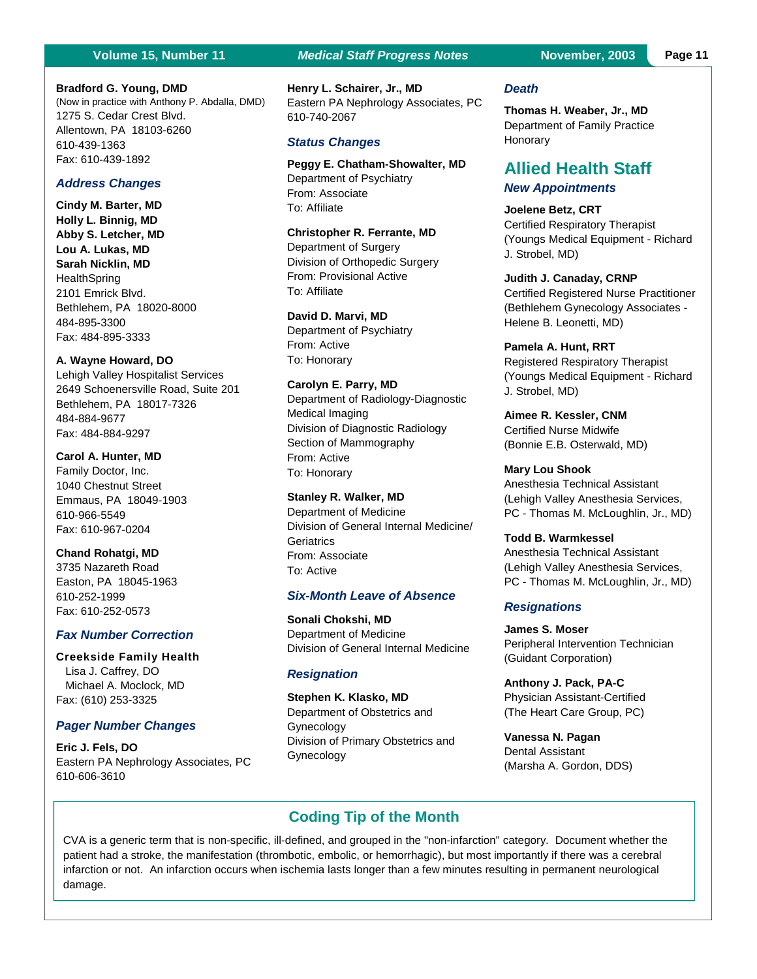(Now in practice with Anthony P. Abdalla, DMD)

**Bradford G. Young, DMD**

1275 S. Cedar Crest Blvd. Allentown, PA 18103-6260

610-439-1363 Fax: 610-439-1892

484-895-3300 Fax: 484-895-3333

484-884-9677 Fax: 484-884-9297

610-966-5549 Fax: 610-967-0204 **Chand Rohatgi, MD**  3735 Nazareth Road Easton, PA 18045-1963

610-252-1999 Fax: 610-252-0573

*Fax Number Correction*  **Creekside Family Health**  Lisa J. Caffrey, DO Michael A. Moclock, MD Fax: (610) 253-3325

*Pager Number Changes* 

Eastern PA Nephrology Associates, PC

**Eric J. Fels, DO** 

610-606-3610

*Address Changes*  **Cindy M. Barter, MD Holly L. Binnig, MD Abby S. Letcher, MD Lou A. Lukas, MD Sarah Nicklin, MD HealthSpring** 2101 Emrick Blvd.

Bethlehem, PA 18020-8000

Lehigh Valley Hospitalist Services 2649 Schoenersville Road, Suite 201

Bethlehem, PA 18017-7326

**A. Wayne Howard, DO** 

**Carol A. Hunter, MD**  Family Doctor, Inc. 1040 Chestnut Street Emmaus, PA 18049-1903

#### **Page 11** *Medical Staff Progress Notes* **<b>November, 2003** Page 11

**Henry L. Schairer, Jr., MD**  Eastern PA Nephrology Associates, PC 610-740-2067

#### *Status Changes*

**Peggy E. Chatham-Showalter, MD**  Department of Psychiatry From: Associate To: Affiliate

**Christopher R. Ferrante, MD**  Department of Surgery Division of Orthopedic Surgery From: Provisional Active To: Affiliate

#### **David D. Marvi, MD**

Department of Psychiatry From: Active To: Honorary

**Carolyn E. Parry, MD**  Department of Radiology-Diagnostic Medical Imaging

Division of Diagnostic Radiology Section of Mammography From: Active To: Honorary

#### **Stanley R. Walker, MD**

Department of Medicine Division of General Internal Medicine/ **Geriatrics** From: Associate To: Active

#### *Six-Month Leave of Absence*

**Sonali Chokshi, MD**  Department of Medicine Division of General Internal Medicine

#### *Resignation*

**Stephen K. Klasko, MD**  Department of Obstetrics and Gynecology Division of Primary Obstetrics and Gynecology

#### *Death*

**Thomas H. Weaber, Jr., MD**  Department of Family Practice Honorary

### **Allied Health Staff**  *New Appointments*

**Joelene Betz, CRT**  Certified Respiratory Therapist (Youngs Medical Equipment - Richard J. Strobel, MD)

#### **Judith J. Canaday, CRNP**

Certified Registered Nurse Practitioner (Bethlehem Gynecology Associates - Helene B. Leonetti, MD)

**Pamela A. Hunt, RRT**  Registered Respiratory Therapist (Youngs Medical Equipment - Richard J. Strobel, MD)

**Aimee R. Kessler, CNM**  Certified Nurse Midwife (Bonnie E.B. Osterwald, MD)

**Mary Lou Shook** 

Anesthesia Technical Assistant (Lehigh Valley Anesthesia Services, PC - Thomas M. McLoughlin, Jr., MD)

**Todd B. Warmkessel**  Anesthesia Technical Assistant (Lehigh Valley Anesthesia Services, PC - Thomas M. McLoughlin, Jr., MD)

#### *Resignations*

**James S. Moser**  Peripheral Intervention Technician (Guidant Corporation)

**Anthony J. Pack, PA-C**  Physician Assistant-Certified (The Heart Care Group, PC)

**Vanessa N. Pagan**  Dental Assistant (Marsha A. Gordon, DDS)

#### **Coding Tip of the Month**

CVA is a generic term that is non-specific, ill-defined, and grouped in the "non-infarction" category. Document whether the patient had a stroke, the manifestation (thrombotic, embolic, or hemorrhagic), but most importantly if there was a cerebral infarction or not. An infarction occurs when ischemia lasts longer than a few minutes resulting in permanent neurological damage.